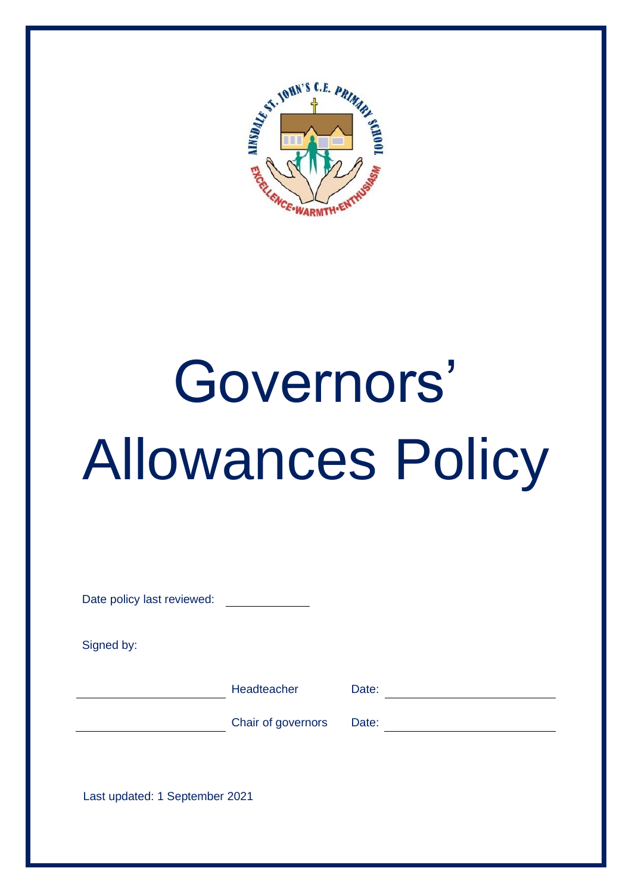

# Governors' Allowances Policy

| Headteacher                    | Date: |  |  |  |
|--------------------------------|-------|--|--|--|
| Chair of governors             | Date: |  |  |  |
|                                |       |  |  |  |
| Last updated: 1 September 2021 |       |  |  |  |
|                                |       |  |  |  |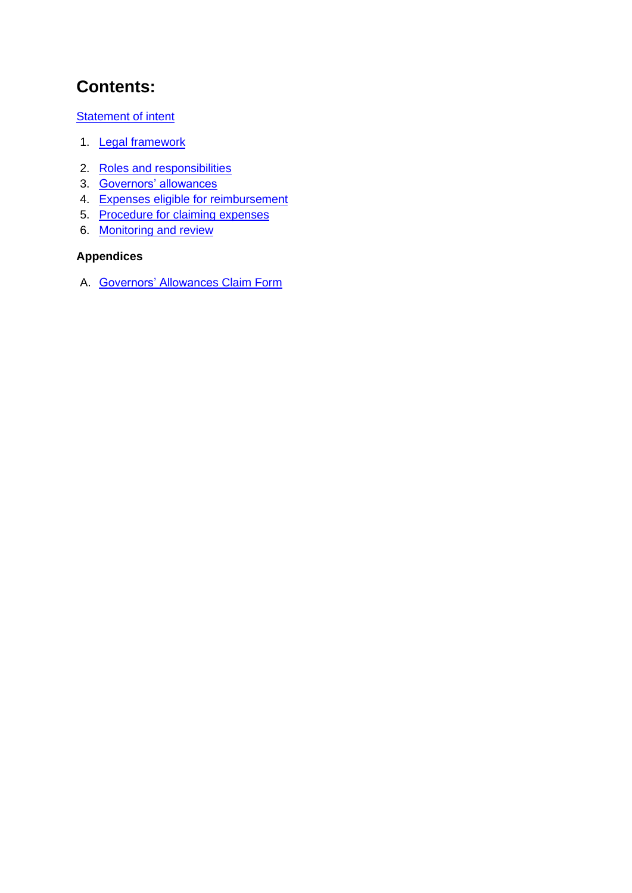# **Contents:**

**Statement of intent** 

- 1. Legal framework
- 2. Roles and responsibilities
- 3. Governors' allowances
- 4. Expenses eligible for reimbursement
- 5. Procedure for claiming expenses
- 6. Monitoring and review

## **Appendices**

A. Governors' Allowances Claim Form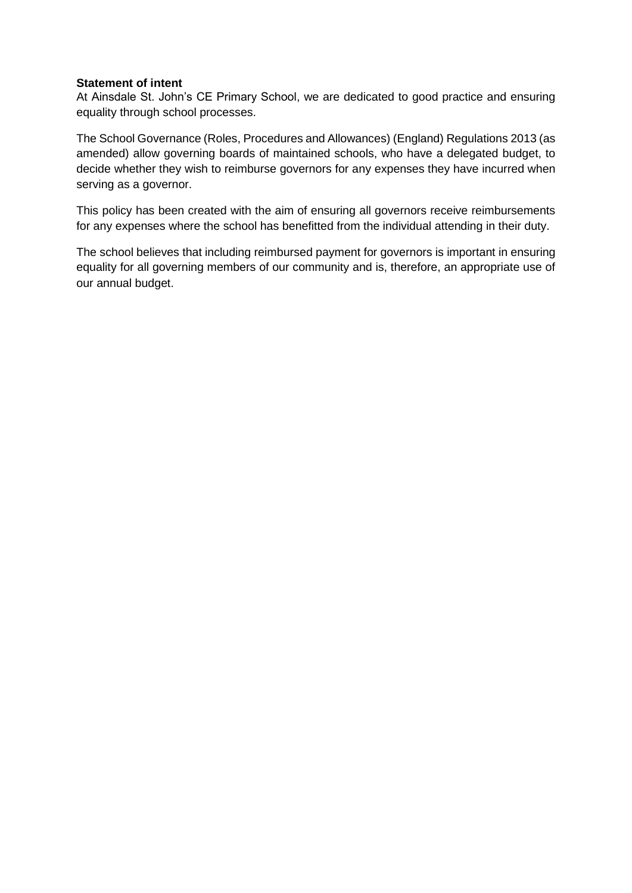#### **Statement of intent**

At Ainsdale St. John's CE Primary School, we are dedicated to good practice and ensuring equality through school processes.

The School Governance (Roles, Procedures and Allowances) (England) Regulations 2013 (as amended) allow governing boards of maintained schools, who have a delegated budget, to decide whether they wish to reimburse governors for any expenses they have incurred when serving as a governor.

This policy has been created with the aim of ensuring all governors receive reimbursements for any expenses where the school has benefitted from the individual attending in their duty.

The school believes that including reimbursed payment for governors is important in ensuring equality for all governing members of our community and is, therefore, an appropriate use of our annual budget.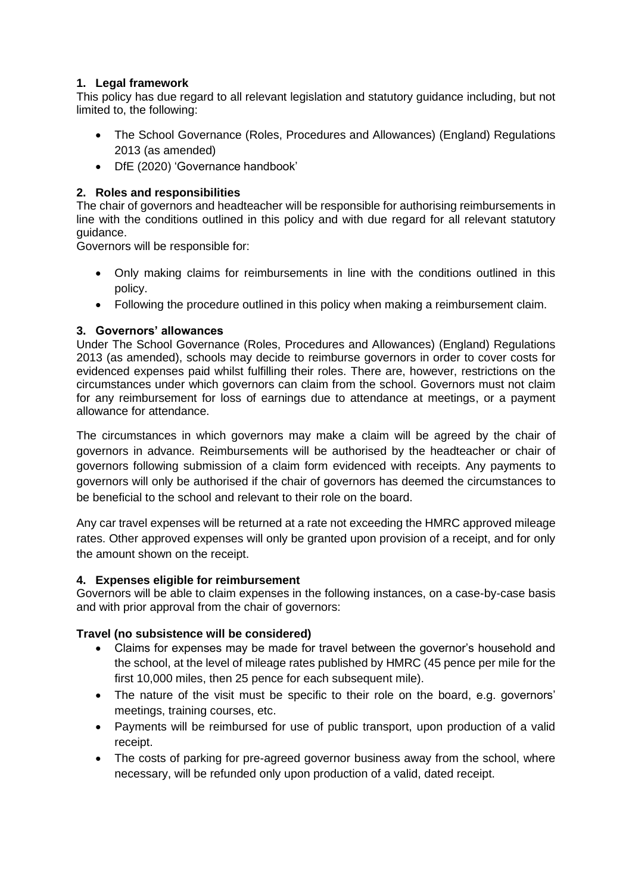### **1. Legal framework**

This policy has due regard to all relevant legislation and statutory guidance including, but not limited to, the following:

- The School Governance (Roles, Procedures and Allowances) (England) Regulations 2013 (as amended)
- DfE (2020) 'Governance handbook'

#### **2. Roles and responsibilities**

The chair of governors and headteacher will be responsible for authorising reimbursements in line with the conditions outlined in this policy and with due regard for all relevant statutory guidance.

Governors will be responsible for:

- Only making claims for reimbursements in line with the conditions outlined in this policy.
- Following the procedure outlined in this policy when making a reimbursement claim.

#### **3. Governors' allowances**

Under The School Governance (Roles, Procedures and Allowances) (England) Regulations 2013 (as amended), schools may decide to reimburse governors in order to cover costs for evidenced expenses paid whilst fulfilling their roles. There are, however, restrictions on the circumstances under which governors can claim from the school. Governors must not claim for any reimbursement for loss of earnings due to attendance at meetings, or a payment allowance for attendance.

The circumstances in which governors may make a claim will be agreed by the chair of governors in advance. Reimbursements will be authorised by the headteacher or chair of governors following submission of a claim form evidenced with receipts. Any payments to governors will only be authorised if the chair of governors has deemed the circumstances to be beneficial to the school and relevant to their role on the board.

Any car travel expenses will be returned at a rate not exceeding the HMRC approved mileage rates. Other approved expenses will only be granted upon provision of a receipt, and for only the amount shown on the receipt.

#### **4. Expenses eligible for reimbursement**

Governors will be able to claim expenses in the following instances, on a case-by-case basis and with prior approval from the chair of governors:

#### **Travel (no subsistence will be considered)**

- Claims for expenses may be made for travel between the governor's household and the school, at the level of mileage rates published by HMRC (45 pence per mile for the first 10,000 miles, then 25 pence for each subsequent mile).
- The nature of the visit must be specific to their role on the board, e.g. governors' meetings, training courses, etc.
- Payments will be reimbursed for use of public transport, upon production of a valid receipt.
- The costs of parking for pre-agreed governor business away from the school, where necessary, will be refunded only upon production of a valid, dated receipt.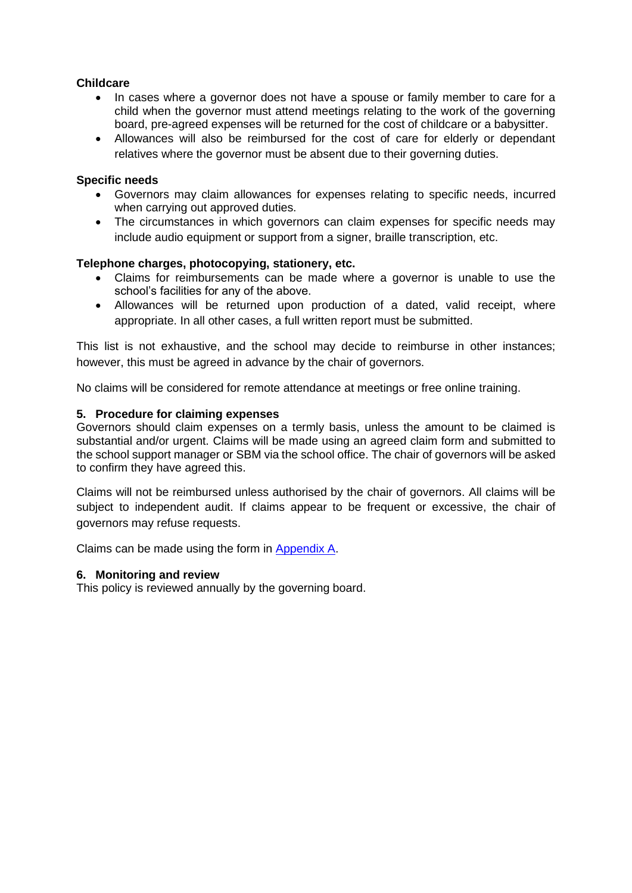#### **Childcare**

- In cases where a governor does not have a spouse or family member to care for a child when the governor must attend meetings relating to the work of the governing board, pre-agreed expenses will be returned for the cost of childcare or a babysitter.
- Allowances will also be reimbursed for the cost of care for elderly or dependant relatives where the governor must be absent due to their governing duties.

#### **Specific needs**

- Governors may claim allowances for expenses relating to specific needs, incurred when carrying out approved duties.
- The circumstances in which governors can claim expenses for specific needs may include audio equipment or support from a signer, braille transcription, etc.

#### **Telephone charges, photocopying, stationery, etc.**

- Claims for reimbursements can be made where a governor is unable to use the school's facilities for any of the above.
- Allowances will be returned upon production of a dated, valid receipt, where appropriate. In all other cases, a full written report must be submitted.

This list is not exhaustive, and the school may decide to reimburse in other instances; however, this must be agreed in advance by the chair of governors.

No claims will be considered for remote attendance at meetings or free online training.

#### **5. Procedure for claiming expenses**

Governors should claim expenses on a termly basis, unless the amount to be claimed is substantial and/or urgent. Claims will be made using an agreed claim form and submitted to the school support manager or SBM via the school office. The chair of governors will be asked to confirm they have agreed this.

Claims will not be reimbursed unless authorised by the chair of governors. All claims will be subject to independent audit. If claims appear to be frequent or excessive, the chair of governors may refuse requests.

Claims can be made using the form in Appendix A.

#### **6. Monitoring and review**

This policy is reviewed annually by the governing board.